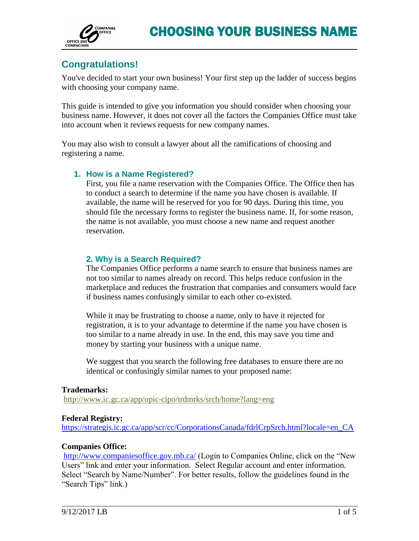

# **Congratulations!**

You've decided to start your own business! Your first step up the ladder of success begins with choosing your company name.

This guide is intended to give you information you should consider when choosing your business name. However, it does not cover all the factors the Companies Office must take into account when it reviews requests for new company names.

You may also wish to consult a lawyer about all the ramifications of choosing and registering a name.

## **1. How is a Name Registered?**

First, you file a name reservation with the Companies Office. The Office then has to conduct a search to determine if the name you have chosen is available. If available, the name will be reserved for you for 90 days. During this time, you should file the necessary forms to register the business name. If, for some reason, the name is not available, you must choose a new name and request another reservation.

# **2. Why is a Search Required?**

The Companies Office performs a name search to ensure that business names are not too similar to names already on record. This helps reduce confusion in the marketplace and reduces the frustration that companies and consumers would face if business names confusingly similar to each other co-existed.

While it may be frustrating to choose a name, only to have it rejected for registration, it is to your advantage to determine if the name you have chosen is too similar to a name already in use. In the end, this may save you time and money by starting your business with a unique name.

We suggest that you search the following free databases to ensure there are no identical or confusingly similar names to your proposed name:

#### **Trademarks:**

<http://www.ic.gc.ca/app/opic-cipo/trdmrks/srch/home?lang=eng>

#### **Federal Registry:**

[https://strategis.ic.gc.ca/app/scr/cc/CorporationsCanada/fdrlCrpSrch.html?locale=en\\_CA](https://strategis.ic.gc.ca/app/scr/cc/CorporationsCanada/fdrlCrpSrch.html?locale=en_CA)

## **Companies Office:**

<http://www.companiesoffice.gov.mb.ca/> (Login to Companies Online, click on the "New Users" link and enter your information. Select Regular account and enter information. Select "Search by Name/Number". For better results, follow the guidelines found in the "Search Tips" link.)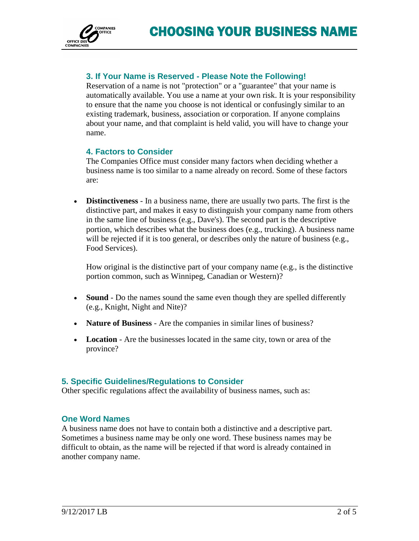

# **3. If Your Name is Reserved - Please Note the Following!**

Reservation of a name is not "protection" or a "guarantee" that your name is automatically available. You use a name at your own risk. It is your responsibility to ensure that the name you choose is not identical or confusingly similar to an existing trademark, business, association or corporation. If anyone complains about your name, and that complaint is held valid, you will have to change your name.

## **4. Factors to Consider**

The Companies Office must consider many factors when deciding whether a business name is too similar to a name already on record. Some of these factors are:

 **Distinctiveness** - In a business name, there are usually two parts. The first is the distinctive part, and makes it easy to distinguish your company name from others in the same line of business (e.g., Dave's). The second part is the descriptive portion, which describes what the business does (e.g., trucking). A business name will be rejected if it is too general, or describes only the nature of business (e.g., Food Services).

How original is the distinctive part of your company name (e.g., is the distinctive portion common, such as Winnipeg, Canadian or Western)?

- **Sound** Do the names sound the same even though they are spelled differently (e.g., Knight, Night and Nite)?
- **Nature of Business** Are the companies in similar lines of business?
- **Location** Are the businesses located in the same city, town or area of the province?

## **5. Specific Guidelines/Regulations to Consider**

Other specific regulations affect the availability of business names, such as:

## **One Word Names**

A business name does not have to contain both a distinctive and a descriptive part. Sometimes a business name may be only one word. These business names may be difficult to obtain, as the name will be rejected if that word is already contained in another company name.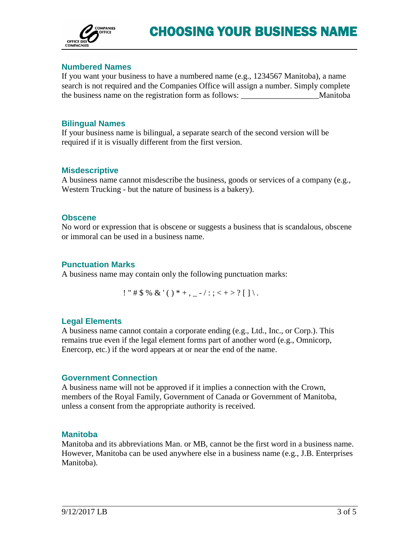

## **Numbered Names**

If you want your business to have a numbered name (e.g., 1234567 Manitoba), a name search is not required and the Companies Office will assign a number. Simply complete the business name on the registration form as follows: Manitoba

#### **Bilingual Names**

If your business name is bilingual, a separate search of the second version will be required if it is visually different from the first version.

#### **Misdescriptive**

A business name cannot misdescribe the business, goods or services of a company (e.g., Western Trucking - but the nature of business is a bakery).

#### **Obscene**

No word or expression that is obscene or suggests a business that is scandalous, obscene or immoral can be used in a business name.

#### **Punctuation Marks**

A business name may contain only the following punctuation marks:

! " # \$ % & '( ) \* +, \_ -/:; < + > ? [ ] \.

## **Legal Elements**

A business name cannot contain a corporate ending (e.g., Ltd., Inc., or Corp.). This remains true even if the legal element forms part of another word (e.g., Omnicorp, Enercorp, etc.) if the word appears at or near the end of the name.

## **Government Connection**

A business name will not be approved if it implies a connection with the Crown, members of the Royal Family, Government of Canada or Government of Manitoba, unless a consent from the appropriate authority is received.

#### **Manitoba**

Manitoba and its abbreviations Man. or MB, cannot be the first word in a business name. However, Manitoba can be used anywhere else in a business name (e.g., J.B. Enterprises Manitoba).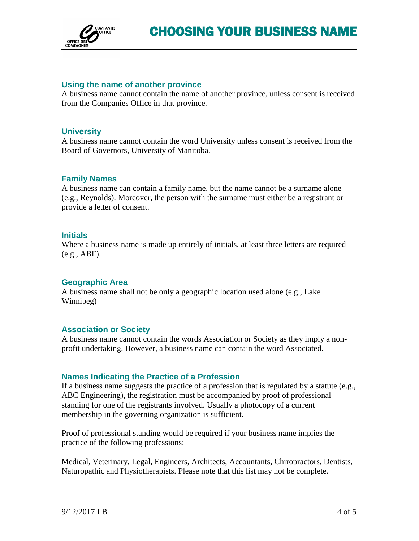

### **Using the name of another province**

A business name cannot contain the name of another province, unless consent is received from the Companies Office in that province.

#### **University**

A business name cannot contain the word University unless consent is received from the Board of Governors, University of Manitoba.

#### **Family Names**

A business name can contain a family name, but the name cannot be a surname alone (e.g., Reynolds). Moreover, the person with the surname must either be a registrant or provide a letter of consent.

#### **Initials**

Where a business name is made up entirely of initials, at least three letters are required (e.g., ABF).

#### **Geographic Area**

A business name shall not be only a geographic location used alone (e.g., Lake Winnipeg)

#### **Association or Society**

A business name cannot contain the words Association or Society as they imply a nonprofit undertaking. However, a business name can contain the word Associated.

## **Names Indicating the Practice of a Profession**

If a business name suggests the practice of a profession that is regulated by a statute (e.g., ABC Engineering), the registration must be accompanied by proof of professional standing for one of the registrants involved. Usually a photocopy of a current membership in the governing organization is sufficient.

Proof of professional standing would be required if your business name implies the practice of the following professions:

Medical, Veterinary, Legal, Engineers, Architects, Accountants, Chiropractors, Dentists, Naturopathic and Physiotherapists. Please note that this list may not be complete.